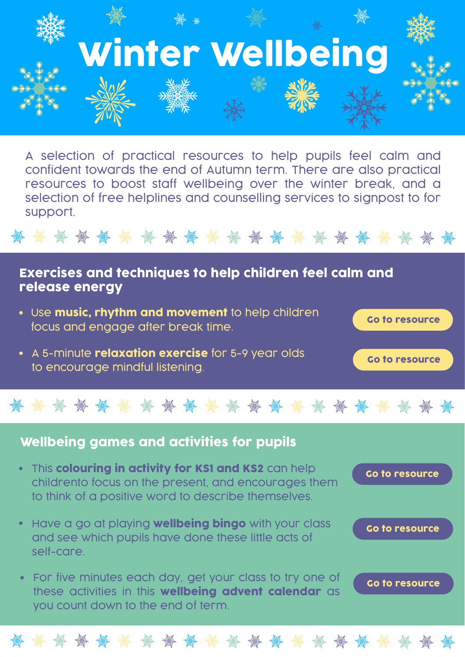

A selection of practical resources to help pupils feel calm and confident towards the end of Autumn term. There are also practical resources to boost staff wellbeing over the winter break, and a selection of free helplines and counselling services to signpost to for support.

Exercises and techniques to help children feel calm and release energy

- Use music, rhythm and movement to help children focus and engage after break time.
- A 5-minute **relaxation exercise** for 5-9 year olds to encourage mindful listening.

## Wellbeing games and activities for pupils

- This colouring in activity for KS1 and KS2 can help childrento focus on the present, and encourages them to think of a positive word to describe themselves.
- Have a go at playing **wellbeing bingo** with your class and see which pupils have done these little acts of self-care.
- For five minutes each day, get your class to try one of these activities in this wellbeing advent calendar as you count down to the end of term.



[Go to resource](https://www.mentallyhealthyschools.org.uk/resources/wellbeing-advent-calendar?pdf=winter-wellbeing-toolkit)

[Go to resource](https://www.mentallyhealthyschools.org.uk/resources/using-the-performing-arts-for-behaviour-management?pdf=winter-wellbeing-toolkit)

[Go to resource](https://www.mentallyhealthyschools.org.uk/resources/meditation-in-schools?pdf=winter-wellbeing-toolkit)